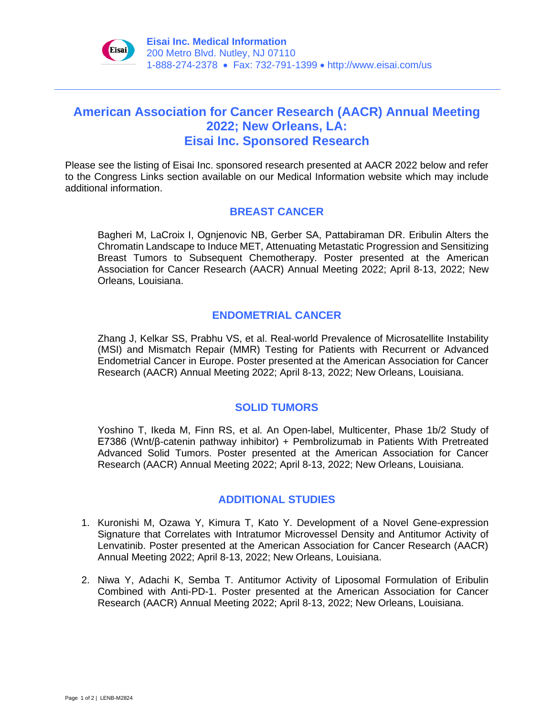

# **American Association for Cancer Research (AACR) Annual Meeting 2022; New Orleans, LA: Eisai Inc. Sponsored Research**

Please see the listing of Eisai Inc. sponsored research presented at AACR 2022 below and refer to the Congress Links section available on our Medical Information website which may include additional information.

## **BREAST CANCER**

Bagheri M, LaCroix I, Ognjenovic NB, Gerber SA, Pattabiraman DR. Eribulin Alters the Chromatin Landscape to Induce MET, Attenuating Metastatic Progression and Sensitizing Breast Tumors to Subsequent Chemotherapy. Poster presented at the American Association for Cancer Research (AACR) Annual Meeting 2022; April 8-13, 2022; New Orleans, Louisiana.

## **ENDOMETRIAL CANCER**

Zhang J, Kelkar SS, Prabhu VS, et al. Real-world Prevalence of Microsatellite Instability (MSI) and Mismatch Repair (MMR) Testing for Patients with Recurrent or Advanced Endometrial Cancer in Europe. Poster presented at the American Association for Cancer Research (AACR) Annual Meeting 2022; April 8-13, 2022; New Orleans, Louisiana.

#### **SOLID TUMORS**

Yoshino T, Ikeda M, Finn RS, et al. An Open-label, Multicenter, Phase 1b/2 Study of E7386 (Wnt/β-catenin pathway inhibitor) + Pembrolizumab in Patients With Pretreated Advanced Solid Tumors. Poster presented at the American Association for Cancer Research (AACR) Annual Meeting 2022; April 8-13, 2022; New Orleans, Louisiana.

## **ADDITIONAL STUDIES**

- 1. Kuronishi M, Ozawa Y, Kimura T, Kato Y. Development of a Novel Gene-expression Signature that Correlates with Intratumor Microvessel Density and Antitumor Activity of Lenvatinib. Poster presented at the American Association for Cancer Research (AACR) Annual Meeting 2022; April 8-13, 2022; New Orleans, Louisiana.
- 2. Niwa Y, Adachi K, Semba T. Antitumor Activity of Liposomal Formulation of Eribulin Combined with Anti-PD-1. Poster presented at the American Association for Cancer Research (AACR) Annual Meeting 2022; April 8-13, 2022; New Orleans, Louisiana.